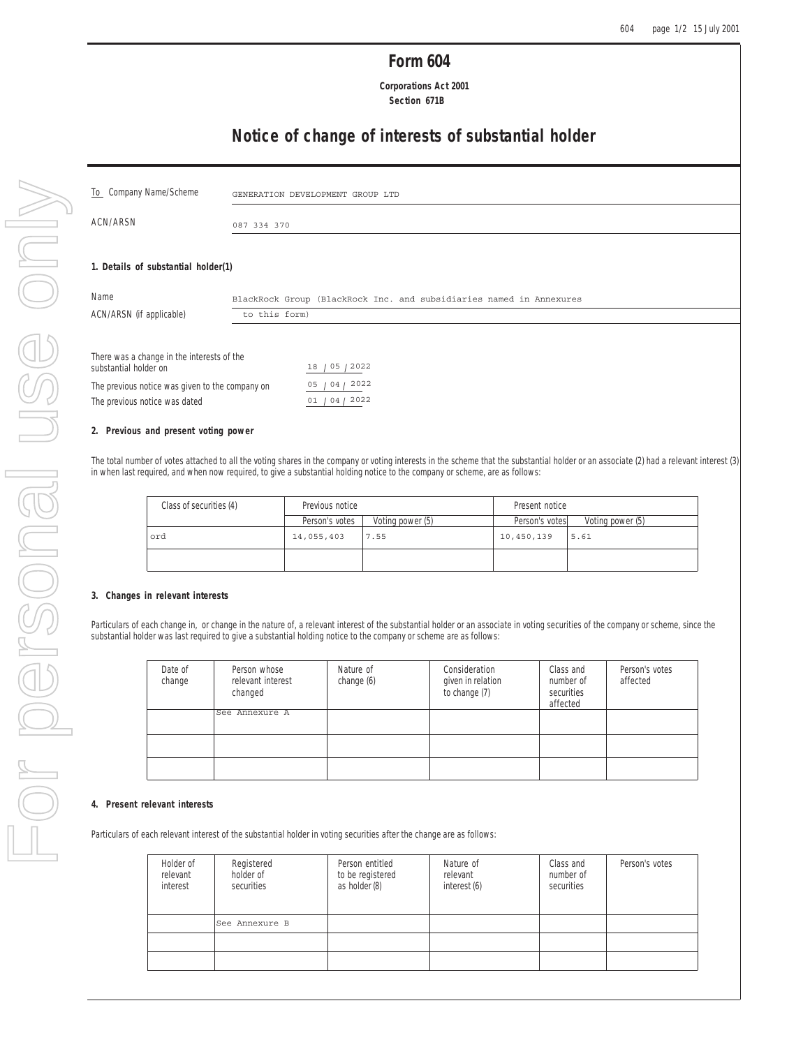## **Form 604**

 **Corporations Act 2001 Section 671B**

# **Notice of change of interests of substantial holder**

| To Company Name/Scheme                                              |             | GENERATION DEVELOPMENT GROUP LTD                                    |
|---------------------------------------------------------------------|-------------|---------------------------------------------------------------------|
| ACN/ARSN                                                            | 087 334 370 |                                                                     |
|                                                                     |             |                                                                     |
| 1. Details of substantial holder(1)                                 |             |                                                                     |
| Name                                                                |             | BlackRock Group (BlackRock Inc. and subsidiaries named in Annexures |
| ACN/ARSN (if applicable)<br>to this form)                           |             |                                                                     |
|                                                                     |             |                                                                     |
| There was a change in the interests of the<br>substantial holder on |             | 18 / 05 / 2022                                                      |
| The previous notice was given to the company on                     |             | 04/2022<br>05                                                       |
| The previous notice was dated                                       |             | 01 / 04 / 2022                                                      |

## **2. Previous and present voting power**

The total number of votes attached to all the voting shares in the company or voting interests in the scheme that the substantial holder or an associate (2) had a relevant interest (3) in when last required, and when now required, to give a substantial holding notice to the company or scheme, are as follows:

| Class of securities (4) | Previous notice |                  | Present notice |                  |  |
|-------------------------|-----------------|------------------|----------------|------------------|--|
|                         | Person's votes  | Voting power (5) | Person's votes | Voting power (5) |  |
| ord                     | 14,055,403      | 7.55             | 10,450,139     | 15.61            |  |
|                         |                 |                  |                |                  |  |

### **3. Changes in relevant interests**

Particulars of each change in, or change in the nature of, a relevant interest of the substantial holder or an associate in voting securities of the company or scheme, since the substantial holder was last required to give a substantial holding notice to the company or scheme are as follows:

| Date of<br>change | Person whose<br>relevant interest<br>changed | Nature of<br>change (6) | Consideration<br>given in relation<br>to change (7) | Class and<br>number of<br>securities<br>affected | Person's votes<br>affected |
|-------------------|----------------------------------------------|-------------------------|-----------------------------------------------------|--------------------------------------------------|----------------------------|
|                   | See Annexure A                               |                         |                                                     |                                                  |                            |
|                   |                                              |                         |                                                     |                                                  |                            |
|                   |                                              |                         |                                                     |                                                  |                            |

### **4. Present relevant interests**

Particulars of each relevant interest of the substantial holder in voting securities after the change are as follows:

| Holder of<br>relevant<br>interest | Registered<br>holder of<br>securities | Person entitled<br>to be registered<br>as holder (8) | Nature of<br>relevant<br>interest (6) | Class and<br>number of<br>securities | Person's votes |
|-----------------------------------|---------------------------------------|------------------------------------------------------|---------------------------------------|--------------------------------------|----------------|
|                                   | See Annexure B                        |                                                      |                                       |                                      |                |
|                                   |                                       |                                                      |                                       |                                      |                |
|                                   |                                       |                                                      |                                       |                                      |                |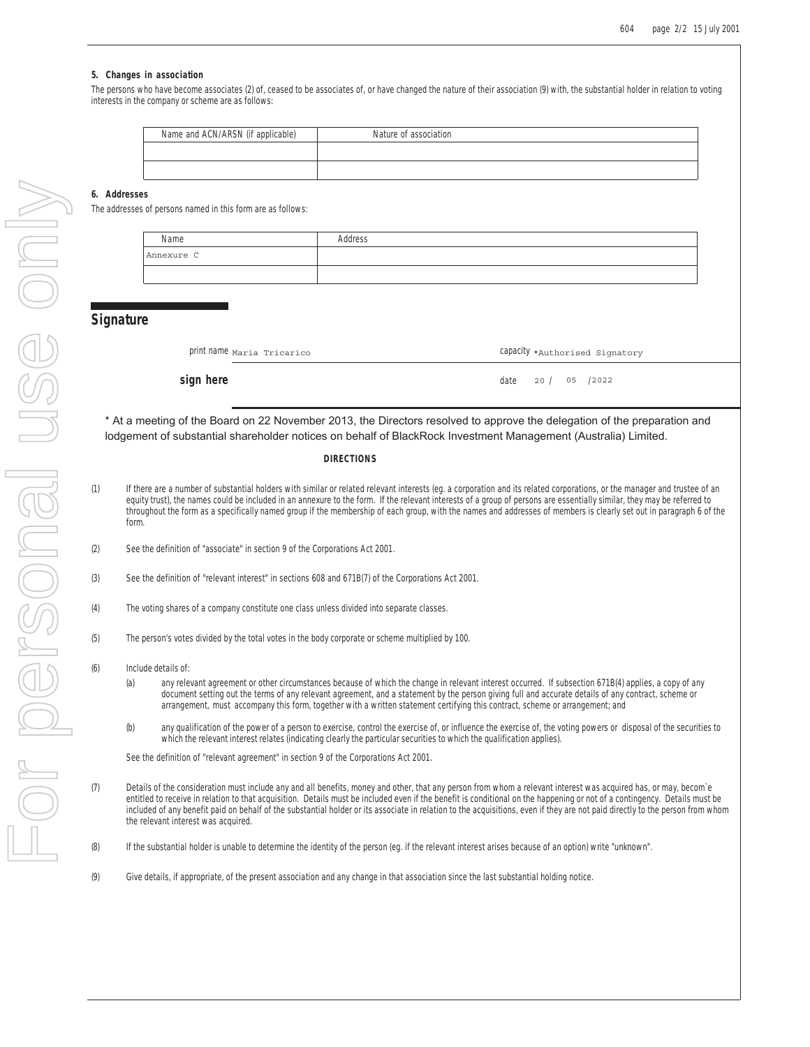05 /2022

### **5. Changes in association**

The persons who have become associates (2) of, ceased to be associates of, or have changed the nature of their association (9) with, the substantial holder in relation to voting interests in the company or scheme are as follows:

| Name and ACN/ARSN (if applicable) | Nature of association |
|-----------------------------------|-----------------------|
|                                   |                       |
|                                   |                       |

## **6. Addresses**

The addresses of persons named in this form are as follows:

| Name       | Address |
|------------|---------|
| Annexure C |         |
|            |         |

## **Signature**

| print name Maria Tricarico | Capacity *Authorised Signatory |
|----------------------------|--------------------------------|
|----------------------------|--------------------------------|

**sign here** date 20 /

\* At a meeting of the Board on 22 November 2013, the Directors resolved to approve the delegation of the preparation and lodgement of substantial shareholder notices on behalf of BlackRock Investment Management (Australia) Limited.

#### **DIRECTIONS**

- (1) If there are a number of substantial holders with similar or related relevant interests (eg. a corporation and its related corporations, or the manager and trustee of an equity trust), the names could be included in an annexure to the form. If the relevant interests of a group of persons are essentially similar, they may be referred to throughout the form as a specifically named group if the membership of each group, with the names and addresses of members is clearly set out in paragraph 6 of the form.
- (2) See the definition of "associate" in section 9 of the Corporations Act 2001.
- (3) See the definition of "relevant interest" in sections 608 and 671B(7) of the Corporations Act 2001.
- (4) The voting shares of a company constitute one class unless divided into separate classes.
- (5) The person's votes divided by the total votes in the body corporate or scheme multiplied by 100.
- (6) Include details of:
	- (a) any relevant agreement or other circumstances because of which the change in relevant interest occurred. If subsection 671B(4) applies, a copy of any document setting out the terms of any relevant agreement, and a statement by the person giving full and accurate details of any contract, scheme or arrangement, must accompany this form, together with a written statement certifying this contract, scheme or arrangement; and
	- (b) any qualification of the power of a person to exercise, control the exercise of, or influence the exercise of, the voting powers or disposal of the securities to which the relevant interest relates (indicating clearly the particular securities to which the qualification applies).

See the definition of "relevant agreement" in section 9 of the Corporations Act 2001.

- (7) Details of the consideration must include any and all benefits, money and other, that any person from whom a relevant interest was acquired has, or may, becom`e entitled to receive in relation to that acquisition. Details must be included even if the benefit is conditional on the happening or not of a contingency. Details must be included of any benefit paid on behalf of the substantial holder or its associate in relation to the acquisitions, even if they are not paid directly to the person from whom the relevant interest was acquired.
- (8) If the substantial holder is unable to determine the identity of the person (eg. if the relevant interest arises because of an option) write "unknown".
- (9) Give details, if appropriate, of the present association and any change in that association since the last substantial holding notice.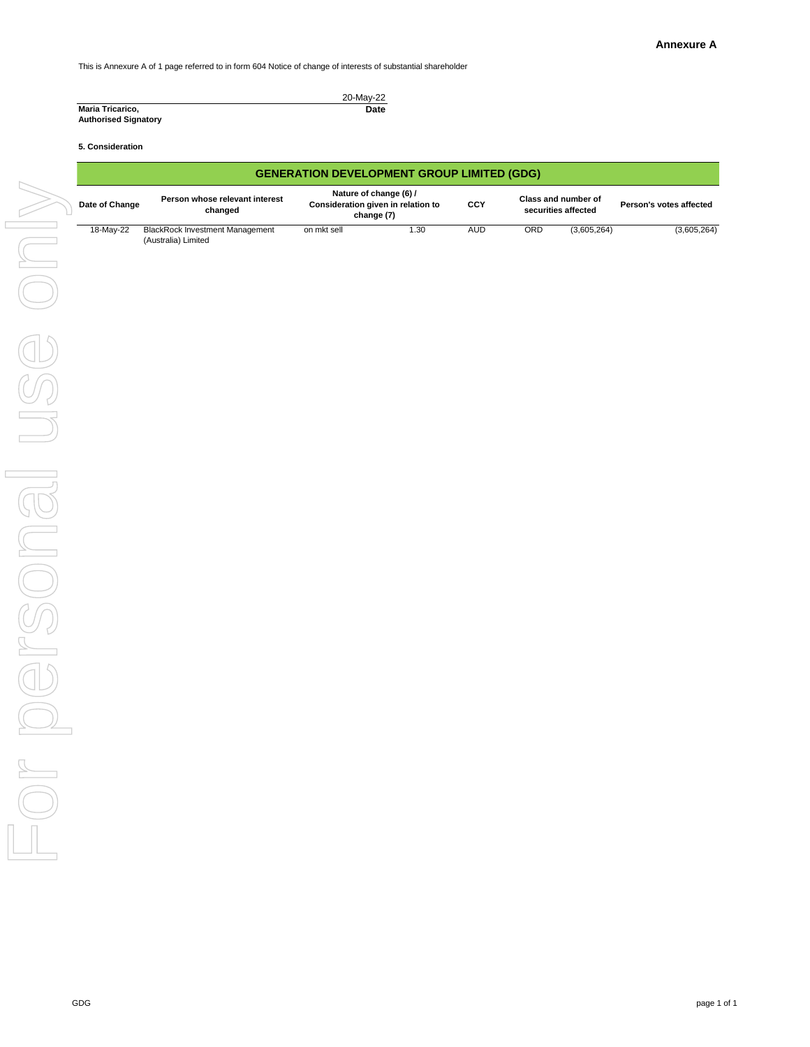This is Annexure A of 1 page referred to in form 604 Notice of change of interests of substantial shareholder

## **5. Consideration**

|                             | 20-May-22 |
|-----------------------------|-----------|
| <b>Maria Tricarico,</b>     | Date      |
| <b>Authorised Signatory</b> |           |

|                    | <b>GENERATION DEVELOPMENT GROUP LIMITED (GDG)</b> |                                                               |                                                                            |                   |            |     |                                            |                         |
|--------------------|---------------------------------------------------|---------------------------------------------------------------|----------------------------------------------------------------------------|-------------------|------------|-----|--------------------------------------------|-------------------------|
|                    | Date of Change                                    | Person whose relevant interest<br>changed                     | Nature of change (6) /<br>Consideration given in relation to<br>change (7) |                   | <b>CCY</b> |     | Class and number of<br>securities affected | Person's votes affected |
|                    | 18-May-22                                         | <b>BlackRock Investment Management</b><br>(Australia) Limited | on mkt sell                                                                | $\overline{1.30}$ | AUD        | ORD | (3,605,264)                                | (3,605,264)             |
|                    |                                                   |                                                               |                                                                            |                   |            |     |                                            |                         |
|                    |                                                   |                                                               |                                                                            |                   |            |     |                                            |                         |
|                    |                                                   |                                                               |                                                                            |                   |            |     |                                            |                         |
|                    |                                                   |                                                               |                                                                            |                   |            |     |                                            |                         |
|                    |                                                   |                                                               |                                                                            |                   |            |     |                                            |                         |
|                    |                                                   |                                                               |                                                                            |                   |            |     |                                            |                         |
|                    |                                                   |                                                               |                                                                            |                   |            |     |                                            |                         |
|                    |                                                   |                                                               |                                                                            |                   |            |     |                                            |                         |
|                    |                                                   |                                                               |                                                                            |                   |            |     |                                            |                         |
|                    |                                                   |                                                               |                                                                            |                   |            |     |                                            |                         |
|                    |                                                   |                                                               |                                                                            |                   |            |     |                                            |                         |
|                    |                                                   |                                                               |                                                                            |                   |            |     |                                            |                         |
| OD                 |                                                   |                                                               |                                                                            |                   |            |     |                                            |                         |
|                    |                                                   |                                                               |                                                                            |                   |            |     |                                            |                         |
| $\boxed{\bigcirc}$ |                                                   |                                                               |                                                                            |                   |            |     |                                            |                         |
| $\sim$             |                                                   |                                                               |                                                                            |                   |            |     |                                            |                         |
|                    |                                                   |                                                               |                                                                            |                   |            |     |                                            |                         |
|                    |                                                   |                                                               |                                                                            |                   |            |     |                                            |                         |
|                    |                                                   |                                                               |                                                                            |                   |            |     |                                            |                         |
|                    |                                                   |                                                               |                                                                            |                   |            |     |                                            |                         |
|                    |                                                   |                                                               |                                                                            |                   |            |     |                                            |                         |
|                    |                                                   |                                                               |                                                                            |                   |            |     |                                            |                         |
|                    | GDG                                               |                                                               |                                                                            |                   |            |     |                                            | page 1 of 1             |

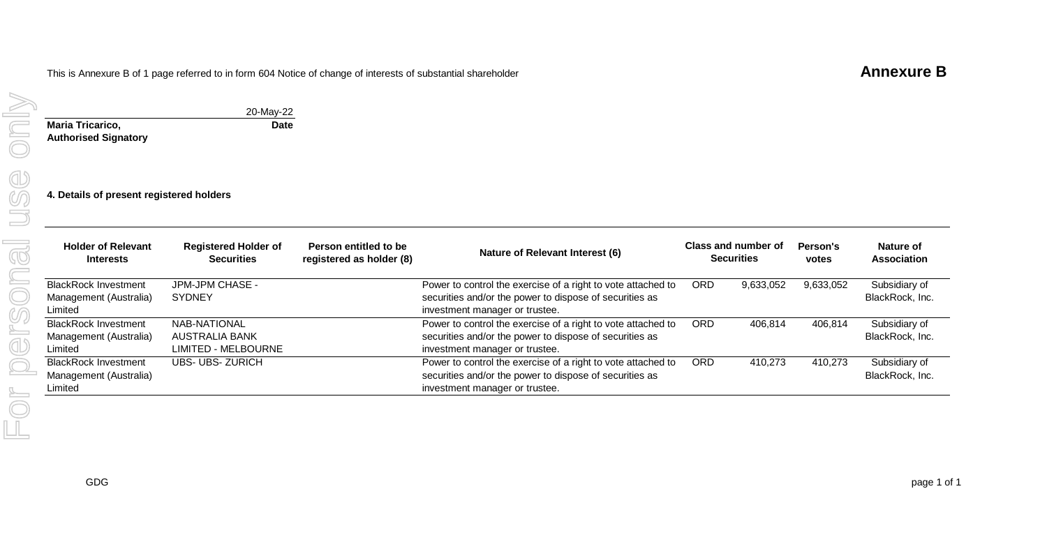# This is Annexure B of 1 page referred to in form 604 Notice of change of interests of substantial shareholder **Annexure B**

**Date**

20-May-22

| Maria Tricarico.            |  |
|-----------------------------|--|
| <b>Authorised Signatory</b> |  |

**4. Details of present registered holders**

| <b>Holder of Relevant</b><br><b>Interests</b>                    | <b>Registered Holder of</b><br><b>Securities</b>      | Person entitled to be<br>registered as holder (8) | Nature of Relevant Interest (6)                                                                                                                           |      | Class and number of<br><b>Securities</b> | Person's<br>votes | Nature of<br><b>Association</b>  |
|------------------------------------------------------------------|-------------------------------------------------------|---------------------------------------------------|-----------------------------------------------------------------------------------------------------------------------------------------------------------|------|------------------------------------------|-------------------|----------------------------------|
| BlackRock Investment                                             | JPM-JPM CHASE -<br><b>SYDNEY</b>                      |                                                   | Power to control the exercise of a right to vote attached to                                                                                              | ORD. | 9,633,052                                | 9,633,052         | Subsidiary of<br>BlackRock, Inc. |
| Management (Australia)<br>Limited                                |                                                       |                                                   | securities and/or the power to dispose of securities as<br>investment manager or trustee.                                                                 |      |                                          |                   |                                  |
| <b>BlackRock Investment</b><br>Management (Australia)<br>Limited | NAB-NATIONAL<br>AUSTRALIA BANK<br>LIMITED - MELBOURNE |                                                   | Power to control the exercise of a right to vote attached to<br>securities and/or the power to dispose of securities as<br>investment manager or trustee. | ORD. | 406,814                                  | 406.814           | Subsidiary of<br>BlackRock, Inc. |
| <b>BlackRock Investment</b><br>Management (Australia)<br>Limited | <b>UBS- UBS- ZURICH</b>                               |                                                   | Power to control the exercise of a right to vote attached to<br>securities and/or the power to dispose of securities as<br>investment manager or trustee. | ORD. | 410,273                                  | 410,273           | Subsidiary of<br>BlackRock, Inc. |